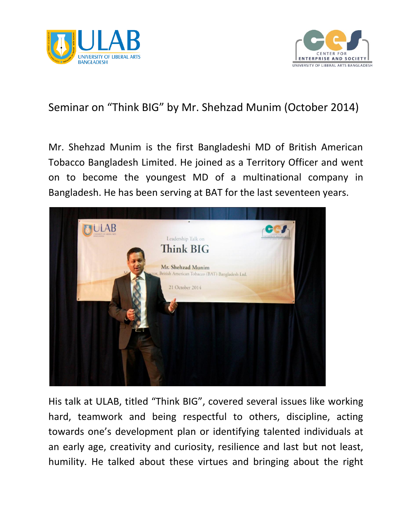



## Seminar on "Think BIG" by Mr. Shehzad Munim (October 2014)

Mr. Shehzad Munim is the first Bangladeshi MD of British American Tobacco Bangladesh Limited. He joined as a Territory Officer and went on to become the youngest MD of a multinational company in Bangladesh. He has been serving at BAT for the last seventeen years.



His talk at ULAB, titled "Think BIG", covered several issues like working hard, teamwork and being respectful to others, discipline, acting towards one's development plan or identifying talented individuals at an early age, creativity and curiosity, resilience and last but not least, humility. He talked about these virtues and bringing about the right